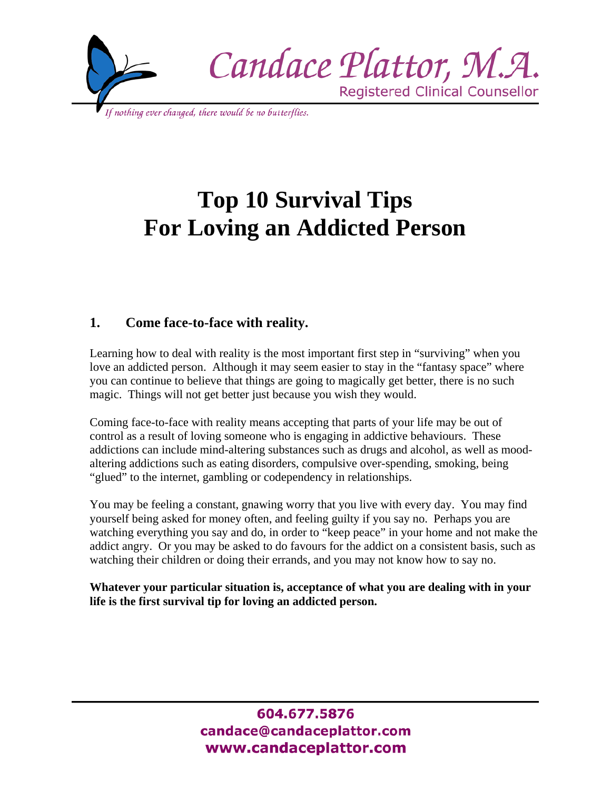

# **Top 10 Survival Tips For Loving an Addicted Person**

# **1. Come face-to-face with reality.**

Learning how to deal with reality is the most important first step in "surviving" when you love an addicted person. Although it may seem easier to stay in the "fantasy space" where you can continue to believe that things are going to magically get better, there is no such magic. Things will not get better just because you wish they would.

Coming face-to-face with reality means accepting that parts of your life may be out of control as a result of loving someone who is engaging in addictive behaviours. These addictions can include mind-altering substances such as drugs and alcohol, as well as moodaltering addictions such as eating disorders, compulsive over-spending, smoking, being "glued" to the internet, gambling or codependency in relationships.

You may be feeling a constant, gnawing worry that you live with every day. You may find yourself being asked for money often, and feeling guilty if you say no. Perhaps you are watching everything you say and do, in order to "keep peace" in your home and not make the addict angry. Or you may be asked to do favours for the addict on a consistent basis, such as watching their children or doing their errands, and you may not know how to say no.

**Whatever your particular situation is, acceptance of what you are dealing with in your life is the first survival tip for loving an addicted person.**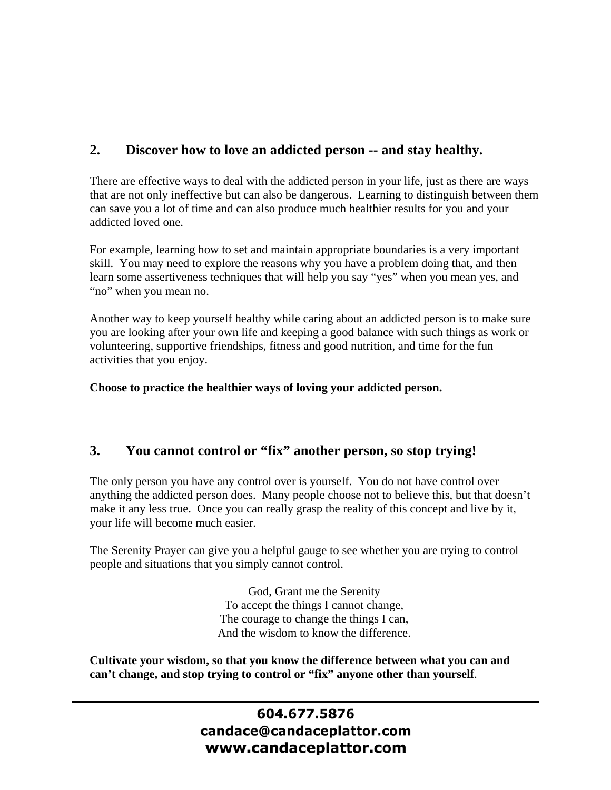# **2. Discover how to love an addicted person -- and stay healthy.**

There are effective ways to deal with the addicted person in your life, just as there are ways that are not only ineffective but can also be dangerous. Learning to distinguish between them can save you a lot of time and can also produce much healthier results for you and your addicted loved one.

For example, learning how to set and maintain appropriate boundaries is a very important skill. You may need to explore the reasons why you have a problem doing that, and then learn some assertiveness techniques that will help you say "yes" when you mean yes, and "no" when you mean no.

Another way to keep yourself healthy while caring about an addicted person is to make sure you are looking after your own life and keeping a good balance with such things as work or volunteering, supportive friendships, fitness and good nutrition, and time for the fun activities that you enjoy.

**Choose to practice the healthier ways of loving your addicted person.** 

#### **3. You cannot control or "fix" another person, so stop trying!**

The only person you have any control over is yourself. You do not have control over anything the addicted person does. Many people choose not to believe this, but that doesn't make it any less true. Once you can really grasp the reality of this concept and live by it, your life will become much easier.

The Serenity Prayer can give you a helpful gauge to see whether you are trying to control people and situations that you simply cannot control.

> God, Grant me the Serenity To accept the things I cannot change, The courage to change the things I can, And the wisdom to know the difference.

**Cultivate your wisdom, so that you know the difference between what you can and can't change, and stop trying to control or "fix" anyone other than yourself**.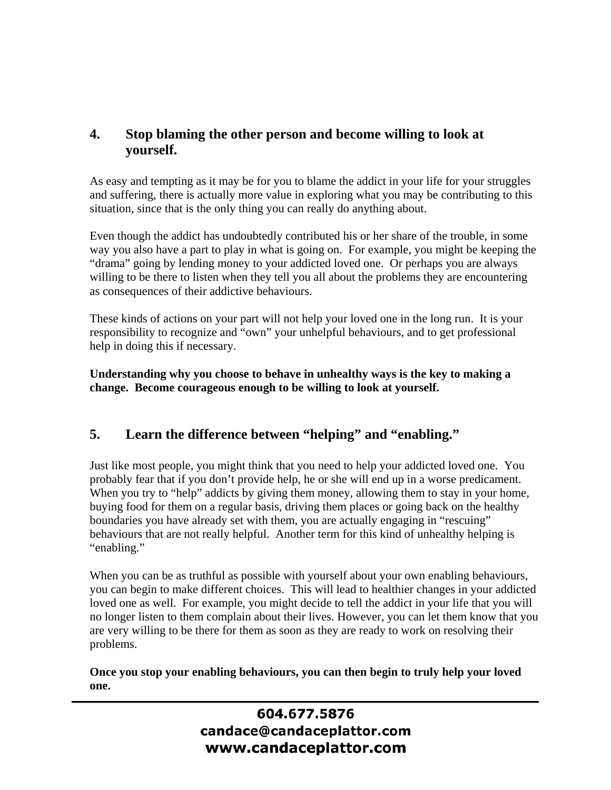### **4. Stop blaming the other person and become willing to look at yourself.**

As easy and tempting as it may be for you to blame the addict in your life for your struggles and suffering, there is actually more value in exploring what you may be contributing to this situation, since that is the only thing you can really do anything about.

Even though the addict has undoubtedly contributed his or her share of the trouble, in some way you also have a part to play in what is going on. For example, you might be keeping the "drama" going by lending money to your addicted loved one. Or perhaps you are always willing to be there to listen when they tell you all about the problems they are encountering as consequences of their addictive behaviours.

These kinds of actions on your part will not help your loved one in the long run. It is your responsibility to recognize and "own" your unhelpful behaviours, and to get professional help in doing this if necessary.

**Understanding why you choose to behave in unhealthy ways is the key to making a change. Become courageous enough to be willing to look at yourself.** 

#### **5. Learn the difference between "helping" and "enabling."**

Just like most people, you might think that you need to help your addicted loved one. You probably fear that if you don't provide help, he or she will end up in a worse predicament. When you try to "help" addicts by giving them money, allowing them to stay in your home, buying food for them on a regular basis, driving them places or going back on the healthy boundaries you have already set with them, you are actually engaging in "rescuing" behaviours that are not really helpful. Another term for this kind of unhealthy helping is "enabling."

When you can be as truthful as possible with yourself about your own enabling behaviours, you can begin to make different choices. This will lead to healthier changes in your addicted loved one as well. For example, you might decide to tell the addict in your life that you will no longer listen to them complain about their lives. However, you can let them know that you are very willing to be there for them as soon as they are ready to work on resolving their problems.

**Once you stop your enabling behaviours, you can then begin to truly help your loved one.**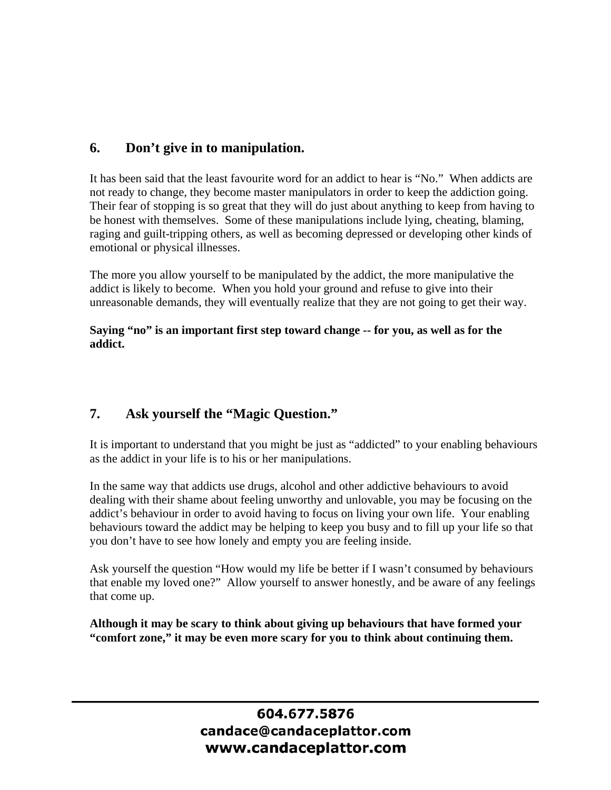#### **6. Don't give in to manipulation.**

It has been said that the least favourite word for an addict to hear is "No." When addicts are not ready to change, they become master manipulators in order to keep the addiction going. Their fear of stopping is so great that they will do just about anything to keep from having to be honest with themselves. Some of these manipulations include lying, cheating, blaming, raging and guilt-tripping others, as well as becoming depressed or developing other kinds of emotional or physical illnesses.

The more you allow yourself to be manipulated by the addict, the more manipulative the addict is likely to become. When you hold your ground and refuse to give into their unreasonable demands, they will eventually realize that they are not going to get their way.

**Saying "no" is an important first step toward change -- for you, as well as for the addict.** 

#### **7. Ask yourself the "Magic Question."**

It is important to understand that you might be just as "addicted" to your enabling behaviours as the addict in your life is to his or her manipulations.

In the same way that addicts use drugs, alcohol and other addictive behaviours to avoid dealing with their shame about feeling unworthy and unlovable, you may be focusing on the addict's behaviour in order to avoid having to focus on living your own life. Your enabling behaviours toward the addict may be helping to keep you busy and to fill up your life so that you don't have to see how lonely and empty you are feeling inside.

Ask yourself the question "How would my life be better if I wasn't consumed by behaviours that enable my loved one?" Allow yourself to answer honestly, and be aware of any feelings that come up.

**Although it may be scary to think about giving up behaviours that have formed your "comfort zone," it may be even more scary for you to think about continuing them.**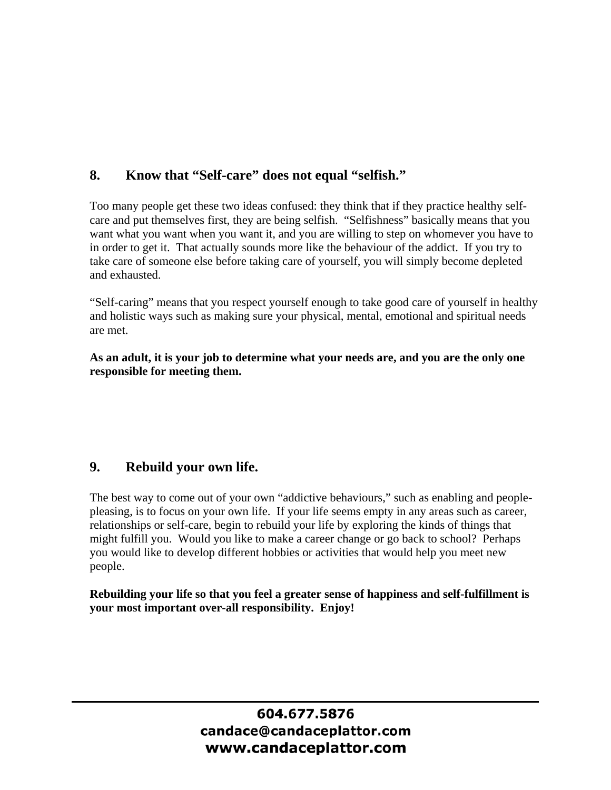#### **8. Know that "Self-care" does not equal "selfish."**

Too many people get these two ideas confused: they think that if they practice healthy selfcare and put themselves first, they are being selfish. "Selfishness" basically means that you want what you want when you want it, and you are willing to step on whomever you have to in order to get it. That actually sounds more like the behaviour of the addict. If you try to take care of someone else before taking care of yourself, you will simply become depleted and exhausted.

"Self-caring" means that you respect yourself enough to take good care of yourself in healthy and holistic ways such as making sure your physical, mental, emotional and spiritual needs are met.

**As an adult, it is your job to determine what your needs are, and you are the only one responsible for meeting them.** 

#### **9. Rebuild your own life.**

The best way to come out of your own "addictive behaviours," such as enabling and peoplepleasing, is to focus on your own life. If your life seems empty in any areas such as career, relationships or self-care, begin to rebuild your life by exploring the kinds of things that might fulfill you. Would you like to make a career change or go back to school? Perhaps you would like to develop different hobbies or activities that would help you meet new people.

**Rebuilding your life so that you feel a greater sense of happiness and self-fulfillment is your most important over-all responsibility. Enjoy!**